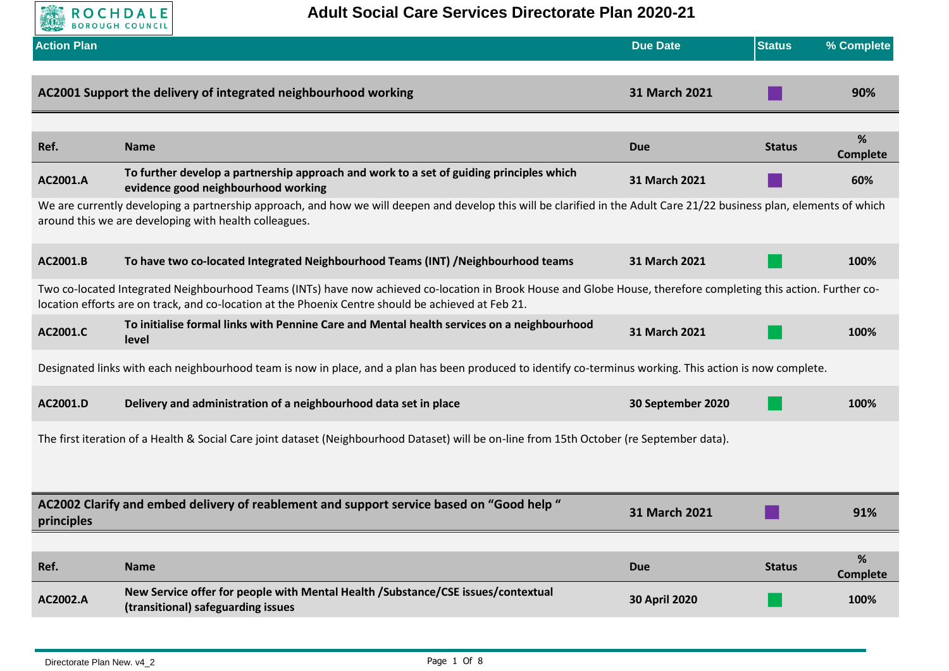

| <b>Action Plan</b> |                                                                                                                                                                                                                                                                        | <b>Due Date</b>      | <b>Status</b> | % Complete           |
|--------------------|------------------------------------------------------------------------------------------------------------------------------------------------------------------------------------------------------------------------------------------------------------------------|----------------------|---------------|----------------------|
|                    | AC2001 Support the delivery of integrated neighbourhood working                                                                                                                                                                                                        | 31 March 2021        |               | 90%                  |
| Ref.               | <b>Name</b>                                                                                                                                                                                                                                                            | Due                  | <b>Status</b> | %<br><b>Complete</b> |
| AC2001.A           | To further develop a partnership approach and work to a set of guiding principles which<br>evidence good neighbourhood working                                                                                                                                         | 31 March 2021        |               | 60%                  |
|                    | We are currently developing a partnership approach, and how we will deepen and develop this will be clarified in the Adult Care 21/22 business plan, elements of which<br>around this we are developing with health colleagues.                                        |                      |               |                      |
| AC2001.B           | To have two co-located Integrated Neighbourhood Teams (INT) /Neighbourhood teams                                                                                                                                                                                       | 31 March 2021        |               | 100%                 |
|                    | Two co-located Integrated Neighbourhood Teams (INTs) have now achieved co-location in Brook House and Globe House, therefore completing this action. Further co-<br>location efforts are on track, and co-location at the Phoenix Centre should be achieved at Feb 21. |                      |               |                      |
| AC2001.C           | To initialise formal links with Pennine Care and Mental health services on a neighbourhood<br>level                                                                                                                                                                    | 31 March 2021        |               | 100%                 |
|                    | Designated links with each neighbourhood team is now in place, and a plan has been produced to identify co-terminus working. This action is now complete.                                                                                                              |                      |               |                      |
| AC2001.D           | Delivery and administration of a neighbourhood data set in place                                                                                                                                                                                                       | 30 September 2020    |               | 100%                 |
|                    | The first iteration of a Health & Social Care joint dataset (Neighbourhood Dataset) will be on-line from 15th October (re September data).                                                                                                                             |                      |               |                      |
|                    |                                                                                                                                                                                                                                                                        |                      |               |                      |
| principles         | AC2002 Clarify and embed delivery of reablement and support service based on "Good help "                                                                                                                                                                              | 31 March 2021        |               | 91%                  |
|                    |                                                                                                                                                                                                                                                                        |                      |               |                      |
| Ref.               | <b>Name</b>                                                                                                                                                                                                                                                            | <b>Due</b>           | <b>Status</b> | %<br><b>Complete</b> |
| AC2002.A           | New Service offer for people with Mental Health /Substance/CSE issues/contextual<br>(transitional) safeguarding issues                                                                                                                                                 | <b>30 April 2020</b> |               | 100%                 |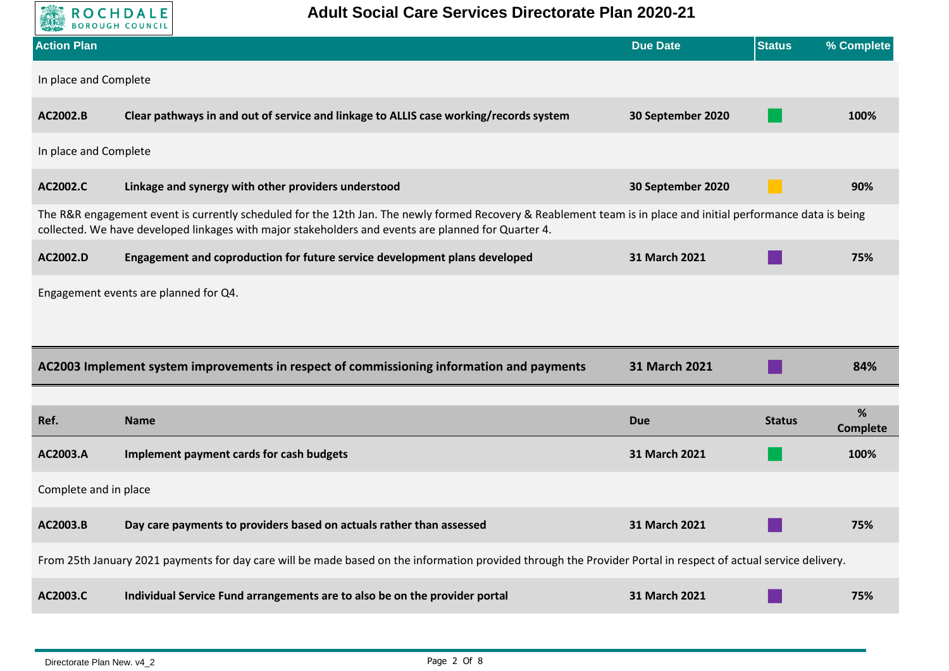| <b>Adult Social Care Services Directorate Plan 2020-21</b><br><b>ROCHDALE</b> |                                                                                                                                                                                                                                                                        |                   |               |                 |  |
|-------------------------------------------------------------------------------|------------------------------------------------------------------------------------------------------------------------------------------------------------------------------------------------------------------------------------------------------------------------|-------------------|---------------|-----------------|--|
| <b>Action Plan</b>                                                            |                                                                                                                                                                                                                                                                        | <b>Due Date</b>   | <b>Status</b> | % Complete      |  |
| In place and Complete                                                         |                                                                                                                                                                                                                                                                        |                   |               |                 |  |
| AC2002.B                                                                      | Clear pathways in and out of service and linkage to ALLIS case working/records system                                                                                                                                                                                  | 30 September 2020 |               | 100%            |  |
| In place and Complete                                                         |                                                                                                                                                                                                                                                                        |                   |               |                 |  |
| AC2002.C                                                                      | Linkage and synergy with other providers understood                                                                                                                                                                                                                    | 30 September 2020 |               | 90%             |  |
|                                                                               | The R&R engagement event is currently scheduled for the 12th Jan. The newly formed Recovery & Reablement team is in place and initial performance data is being<br>collected. We have developed linkages with major stakeholders and events are planned for Quarter 4. |                   |               |                 |  |
| AC2002.D                                                                      | Engagement and coproduction for future service development plans developed                                                                                                                                                                                             | 31 March 2021     |               | 75%             |  |
|                                                                               | Engagement events are planned for Q4.                                                                                                                                                                                                                                  |                   |               |                 |  |
|                                                                               |                                                                                                                                                                                                                                                                        |                   |               |                 |  |
|                                                                               | AC2003 Implement system improvements in respect of commissioning information and payments                                                                                                                                                                              | 31 March 2021     |               | 84%             |  |
|                                                                               |                                                                                                                                                                                                                                                                        |                   |               | %               |  |
| Ref.                                                                          | <b>Name</b>                                                                                                                                                                                                                                                            | <b>Due</b>        | <b>Status</b> | <b>Complete</b> |  |
| AC2003.A                                                                      | Implement payment cards for cash budgets                                                                                                                                                                                                                               | 31 March 2021     |               | 100%            |  |
| Complete and in place                                                         |                                                                                                                                                                                                                                                                        |                   |               |                 |  |
| AC2003.B                                                                      | Day care payments to providers based on actuals rather than assessed                                                                                                                                                                                                   | 31 March 2021     |               | 75%             |  |
|                                                                               | From 25th January 2021 payments for day care will be made based on the information provided through the Provider Portal in respect of actual service delivery.                                                                                                         |                   |               |                 |  |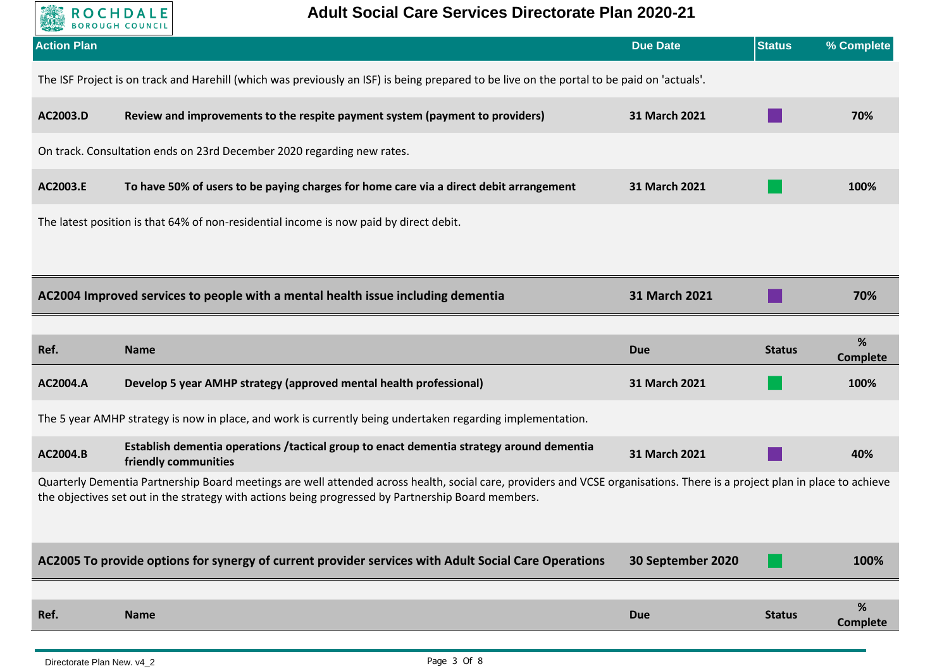

| <b>Action Plan</b>                                                                                                                                                                                                                                                              |                                                                                                                                            | <b>Due Date</b>   | <b>Status</b> | % Complete           |  |
|---------------------------------------------------------------------------------------------------------------------------------------------------------------------------------------------------------------------------------------------------------------------------------|--------------------------------------------------------------------------------------------------------------------------------------------|-------------------|---------------|----------------------|--|
|                                                                                                                                                                                                                                                                                 | The ISF Project is on track and Harehill (which was previously an ISF) is being prepared to be live on the portal to be paid on 'actuals'. |                   |               |                      |  |
| AC2003.D                                                                                                                                                                                                                                                                        | Review and improvements to the respite payment system (payment to providers)                                                               | 31 March 2021     |               | 70%                  |  |
|                                                                                                                                                                                                                                                                                 | On track. Consultation ends on 23rd December 2020 regarding new rates.                                                                     |                   |               |                      |  |
| AC2003.E                                                                                                                                                                                                                                                                        | To have 50% of users to be paying charges for home care via a direct debit arrangement                                                     | 31 March 2021     |               | 100%                 |  |
|                                                                                                                                                                                                                                                                                 | The latest position is that 64% of non-residential income is now paid by direct debit.                                                     |                   |               |                      |  |
|                                                                                                                                                                                                                                                                                 |                                                                                                                                            |                   |               |                      |  |
|                                                                                                                                                                                                                                                                                 | AC2004 Improved services to people with a mental health issue including dementia                                                           | 31 March 2021     |               | 70%                  |  |
|                                                                                                                                                                                                                                                                                 |                                                                                                                                            |                   |               |                      |  |
| Ref.                                                                                                                                                                                                                                                                            | <b>Name</b>                                                                                                                                | <b>Due</b>        | <b>Status</b> | %<br><b>Complete</b> |  |
| AC2004.A                                                                                                                                                                                                                                                                        | Develop 5 year AMHP strategy (approved mental health professional)                                                                         | 31 March 2021     |               | 100%                 |  |
|                                                                                                                                                                                                                                                                                 | The 5 year AMHP strategy is now in place, and work is currently being undertaken regarding implementation.                                 |                   |               |                      |  |
| AC2004.B                                                                                                                                                                                                                                                                        | Establish dementia operations / tactical group to enact dementia strategy around dementia<br>friendly communities                          | 31 March 2021     |               | 40%                  |  |
| Quarterly Dementia Partnership Board meetings are well attended across health, social care, providers and VCSE organisations. There is a project plan in place to achieve<br>the objectives set out in the strategy with actions being progressed by Partnership Board members. |                                                                                                                                            |                   |               |                      |  |
|                                                                                                                                                                                                                                                                                 | AC2005 To provide options for synergy of current provider services with Adult Social Care Operations                                       | 30 September 2020 |               | 100%                 |  |
|                                                                                                                                                                                                                                                                                 |                                                                                                                                            |                   |               |                      |  |
| Ref.                                                                                                                                                                                                                                                                            | <b>Name</b>                                                                                                                                | <b>Due</b>        | <b>Status</b> | %                    |  |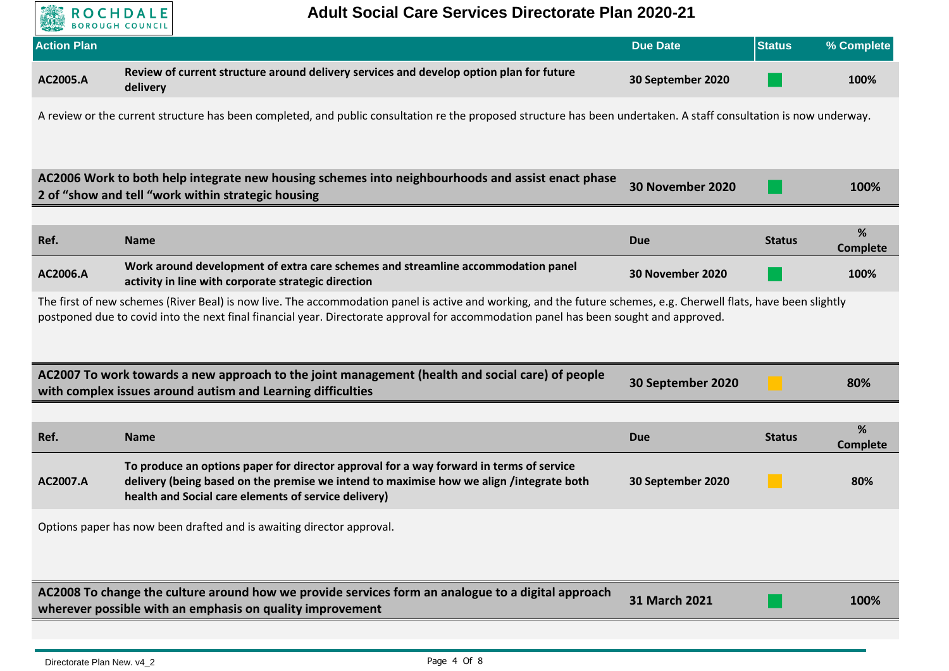

| <b>ASSESSED DUROUGH COUNCIL</b><br><b>Action Plan</b>                                                                                                                                                                                     |                                                                                                                                                                                                                                            | <b>Due Date</b>   | <b>Status</b> | % Complete           |  |
|-------------------------------------------------------------------------------------------------------------------------------------------------------------------------------------------------------------------------------------------|--------------------------------------------------------------------------------------------------------------------------------------------------------------------------------------------------------------------------------------------|-------------------|---------------|----------------------|--|
|                                                                                                                                                                                                                                           |                                                                                                                                                                                                                                            |                   |               |                      |  |
| AC2005.A                                                                                                                                                                                                                                  | Review of current structure around delivery services and develop option plan for future<br>delivery                                                                                                                                        | 30 September 2020 |               | 100%                 |  |
|                                                                                                                                                                                                                                           | A review or the current structure has been completed, and public consultation re the proposed structure has been undertaken. A staff consultation is now underway.                                                                         |                   |               |                      |  |
|                                                                                                                                                                                                                                           | AC2006 Work to both help integrate new housing schemes into neighbourhoods and assist enact phase<br>2 of "show and tell "work within strategic housing                                                                                    | 30 November 2020  |               | 100%                 |  |
|                                                                                                                                                                                                                                           |                                                                                                                                                                                                                                            |                   |               |                      |  |
| Ref.                                                                                                                                                                                                                                      | <b>Name</b>                                                                                                                                                                                                                                | <b>Due</b>        | <b>Status</b> | %<br><b>Complete</b> |  |
| AC2006.A                                                                                                                                                                                                                                  | Work around development of extra care schemes and streamline accommodation panel<br>activity in line with corporate strategic direction                                                                                                    | 30 November 2020  |               | 100%                 |  |
| postponed due to covid into the next final financial year. Directorate approval for accommodation panel has been sought and approved.<br>AC2007 To work towards a new approach to the joint management (health and social care) of people |                                                                                                                                                                                                                                            |                   |               |                      |  |
|                                                                                                                                                                                                                                           | with complex issues around autism and Learning difficulties                                                                                                                                                                                | 30 September 2020 |               | 80%                  |  |
|                                                                                                                                                                                                                                           |                                                                                                                                                                                                                                            |                   |               |                      |  |
| Ref.                                                                                                                                                                                                                                      | <b>Name</b>                                                                                                                                                                                                                                | <b>Due</b>        | <b>Status</b> | %<br><b>Complete</b> |  |
| AC2007.A                                                                                                                                                                                                                                  | To produce an options paper for director approval for a way forward in terms of service<br>delivery (being based on the premise we intend to maximise how we align /integrate both<br>health and Social care elements of service delivery) | 30 September 2020 |               | 80%                  |  |
| Options paper has now been drafted and is awaiting director approval.                                                                                                                                                                     |                                                                                                                                                                                                                                            |                   |               |                      |  |
|                                                                                                                                                                                                                                           | AC2008 To change the culture around how we provide services form an analogue to a digital approach<br>wherever possible with an emphasis on quality improvement                                                                            | 31 March 2021     |               | 100%                 |  |
|                                                                                                                                                                                                                                           |                                                                                                                                                                                                                                            |                   |               |                      |  |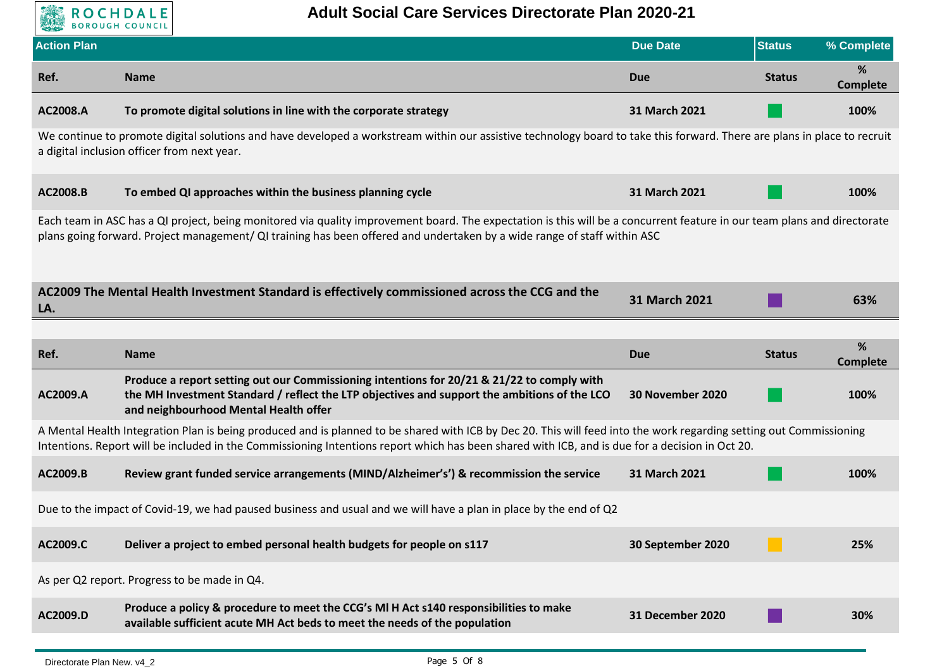

| <b>Action Plan</b>                                                                                                                                                                                                                                                                                                     |                                                                                                                                                                                                                                     | <b>Due Date</b>   | <b>Status</b> | % Complete           |
|------------------------------------------------------------------------------------------------------------------------------------------------------------------------------------------------------------------------------------------------------------------------------------------------------------------------|-------------------------------------------------------------------------------------------------------------------------------------------------------------------------------------------------------------------------------------|-------------------|---------------|----------------------|
| Ref.                                                                                                                                                                                                                                                                                                                   | <b>Name</b>                                                                                                                                                                                                                         | <b>Due</b>        | <b>Status</b> | %<br><b>Complete</b> |
| AC2008.A                                                                                                                                                                                                                                                                                                               | To promote digital solutions in line with the corporate strategy                                                                                                                                                                    | 31 March 2021     |               | 100%                 |
|                                                                                                                                                                                                                                                                                                                        | We continue to promote digital solutions and have developed a workstream within our assistive technology board to take this forward. There are plans in place to recruit<br>a digital inclusion officer from next year.             |                   |               |                      |
| AC2008.B                                                                                                                                                                                                                                                                                                               | To embed QI approaches within the business planning cycle                                                                                                                                                                           | 31 March 2021     |               | 100%                 |
| Each team in ASC has a QI project, being monitored via quality improvement board. The expectation is this will be a concurrent feature in our team plans and directorate<br>plans going forward. Project management/ QI training has been offered and undertaken by a wide range of staff within ASC                   |                                                                                                                                                                                                                                     |                   |               |                      |
| LA.                                                                                                                                                                                                                                                                                                                    | AC2009 The Mental Health Investment Standard is effectively commissioned across the CCG and the                                                                                                                                     | 31 March 2021     |               | 63%                  |
|                                                                                                                                                                                                                                                                                                                        |                                                                                                                                                                                                                                     |                   |               |                      |
| Ref.                                                                                                                                                                                                                                                                                                                   | <b>Name</b>                                                                                                                                                                                                                         | <b>Due</b>        | <b>Status</b> | %<br><b>Complete</b> |
| AC2009.A                                                                                                                                                                                                                                                                                                               | Produce a report setting out our Commissioning intentions for 20/21 & 21/22 to comply with<br>the MH Investment Standard / reflect the LTP objectives and support the ambitions of the LCO<br>and neighbourhood Mental Health offer | 30 November 2020  |               | 100%                 |
| A Mental Health Integration Plan is being produced and is planned to be shared with ICB by Dec 20. This will feed into the work regarding setting out Commissioning<br>Intentions. Report will be included in the Commissioning Intentions report which has been shared with ICB, and is due for a decision in Oct 20. |                                                                                                                                                                                                                                     |                   |               |                      |
| AC2009.B                                                                                                                                                                                                                                                                                                               | Review grant funded service arrangements (MIND/Alzheimer's') & recommission the service                                                                                                                                             | 31 March 2021     |               | 100%                 |
|                                                                                                                                                                                                                                                                                                                        | Due to the impact of Covid-19, we had paused business and usual and we will have a plan in place by the end of Q2                                                                                                                   |                   |               |                      |
| AC2009.C                                                                                                                                                                                                                                                                                                               | Deliver a project to embed personal health budgets for people on s117                                                                                                                                                               | 30 September 2020 |               | 25%                  |
|                                                                                                                                                                                                                                                                                                                        | As per Q2 report. Progress to be made in Q4.                                                                                                                                                                                        |                   |               |                      |
| AC2009.D                                                                                                                                                                                                                                                                                                               | Produce a policy & procedure to meet the CCG's MI H Act s140 responsibilities to make<br>available sufficient acute MH Act beds to meet the needs of the population                                                                 | 31 December 2020  |               | 30%                  |
|                                                                                                                                                                                                                                                                                                                        |                                                                                                                                                                                                                                     |                   |               |                      |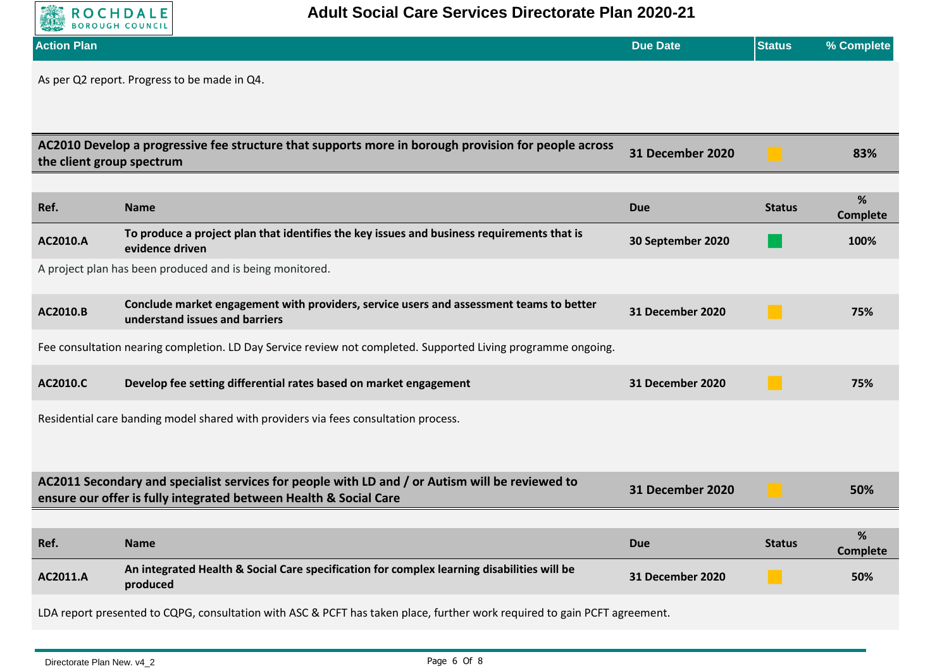

| <b>Action Plan</b>        |                                                                                                                                                                      | <b>Due Date</b>         | <b>Status</b> | % Complete           |
|---------------------------|----------------------------------------------------------------------------------------------------------------------------------------------------------------------|-------------------------|---------------|----------------------|
|                           | As per Q2 report. Progress to be made in Q4.                                                                                                                         |                         |               |                      |
| the client group spectrum | AC2010 Develop a progressive fee structure that supports more in borough provision for people across                                                                 | 31 December 2020        |               | 83%                  |
| Ref.                      | <b>Name</b>                                                                                                                                                          | <b>Due</b>              | <b>Status</b> | %<br><b>Complete</b> |
| AC2010.A                  | To produce a project plan that identifies the key issues and business requirements that is<br>evidence driven                                                        | 30 September 2020       |               | 100%                 |
|                           | A project plan has been produced and is being monitored.                                                                                                             |                         |               |                      |
| AC2010.B                  | Conclude market engagement with providers, service users and assessment teams to better<br>understand issues and barriers                                            | 31 December 2020        | m             | 75%                  |
|                           | Fee consultation nearing completion. LD Day Service review not completed. Supported Living programme ongoing.                                                        |                         |               |                      |
| AC2010.C                  | Develop fee setting differential rates based on market engagement                                                                                                    | <b>31 December 2020</b> |               | 75%                  |
|                           | Residential care banding model shared with providers via fees consultation process.                                                                                  |                         |               |                      |
|                           | AC2011 Secondary and specialist services for people with LD and / or Autism will be reviewed to<br>ensure our offer is fully integrated between Health & Social Care | 31 December 2020        |               | 50%                  |
|                           |                                                                                                                                                                      |                         |               |                      |
| Ref.                      | <b>Name</b>                                                                                                                                                          | <b>Due</b>              | <b>Status</b> | %<br><b>Complete</b> |
| AC2011.A                  | An integrated Health & Social Care specification for complex learning disabilities will be<br>produced                                                               | 31 December 2020        |               | 50%                  |
|                           | LDA report presented to CQPG, consultation with ASC & PCFT has taken place, further work required to gain PCFT agreement.                                            |                         |               |                      |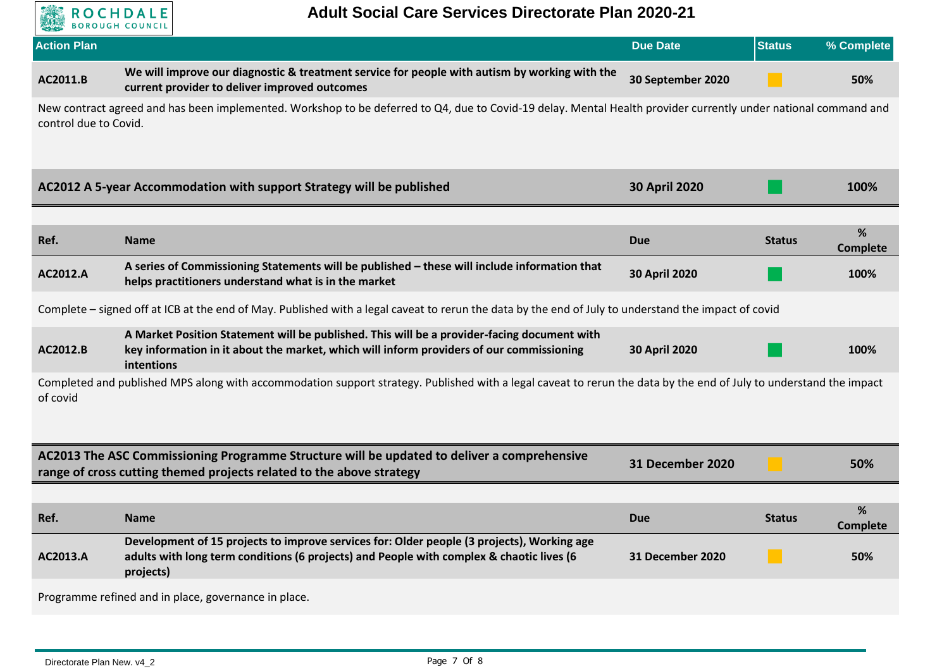

| <b>Action Plan</b>    |                                                                                                                                                                                                       | <b>Due Date</b>         | <b>Status</b> | % Complete           |
|-----------------------|-------------------------------------------------------------------------------------------------------------------------------------------------------------------------------------------------------|-------------------------|---------------|----------------------|
| AC2011.B              | We will improve our diagnostic & treatment service for people with autism by working with the<br>current provider to deliver improved outcomes                                                        | 30 September 2020       |               | 50%                  |
| control due to Covid. | New contract agreed and has been implemented. Workshop to be deferred to Q4, due to Covid-19 delay. Mental Health provider currently under national command and                                       |                         |               |                      |
|                       | AC2012 A 5-year Accommodation with support Strategy will be published                                                                                                                                 | <b>30 April 2020</b>    |               | 100%                 |
|                       |                                                                                                                                                                                                       |                         |               |                      |
| Ref.                  | <b>Name</b>                                                                                                                                                                                           | <b>Due</b>              | <b>Status</b> | %<br><b>Complete</b> |
| AC2012.A              | A series of Commissioning Statements will be published - these will include information that<br>helps practitioners understand what is in the market                                                  | <b>30 April 2020</b>    |               | 100%                 |
|                       | Complete – signed off at ICB at the end of May. Published with a legal caveat to rerun the data by the end of July to understand the impact of covid                                                  |                         |               |                      |
| AC2012.B              | A Market Position Statement will be published. This will be a provider-facing document with<br>key information in it about the market, which will inform providers of our commissioning<br>intentions | 30 April 2020           |               | 100%                 |
| of covid              | Completed and published MPS along with accommodation support strategy. Published with a legal caveat to rerun the data by the end of July to understand the impact                                    |                         |               |                      |
|                       | AC2013 The ASC Commissioning Programme Structure will be updated to deliver a comprehensive<br>range of cross cutting themed projects related to the above strategy                                   | 31 December 2020        |               | 50%                  |
|                       |                                                                                                                                                                                                       |                         |               |                      |
| Ref.                  | <b>Name</b>                                                                                                                                                                                           | <b>Due</b>              | <b>Status</b> | %<br><b>Complete</b> |
| AC2013.A              | Development of 15 projects to improve services for: Older people (3 projects), Working age<br>adults with long term conditions (6 projects) and People with complex & chaotic lives (6<br>projects)   | <b>31 December 2020</b> |               | 50%                  |
|                       | Programme refined and in place, governance in place.                                                                                                                                                  |                         |               |                      |